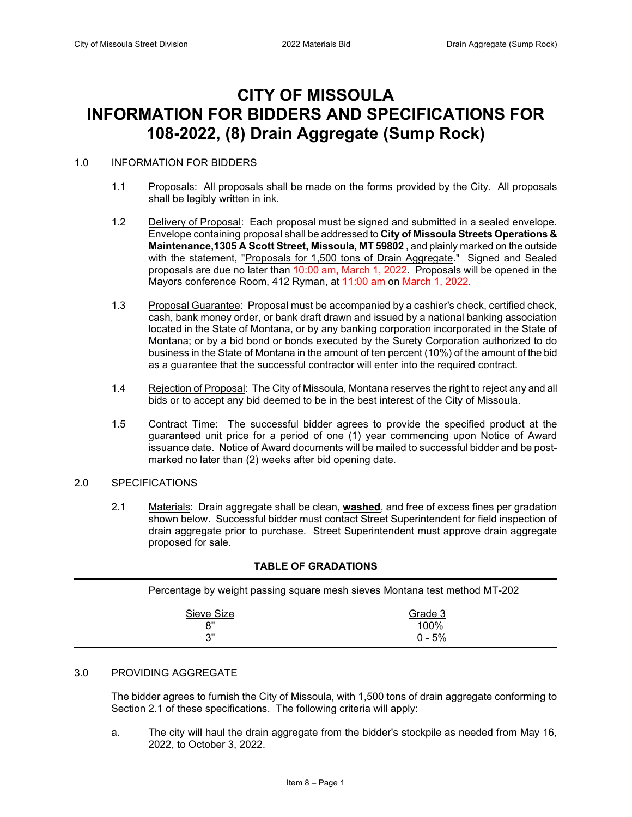# **CITY OF MISSOULA INFORMATION FOR BIDDERS AND SPECIFICATIONS FOR 108-2022, (8) Drain Aggregate (Sump Rock)**

### 1.0 INFORMATION FOR BIDDERS

- 1.1 Proposals: All proposals shall be made on the forms provided by the City. All proposals shall be legibly written in ink.
- 1.2 Delivery of Proposal: Each proposal must be signed and submitted in a sealed envelope. Envelope containing proposal shall be addressed to **City of Missoula Streets Operations & Maintenance,1305 A Scott Street, Missoula, MT 59802** , and plainly marked on the outside with the statement, "Proposals for 1,500 tons of Drain Aggregate." Signed and Sealed proposals are due no later than 10:00 am, March 1, 2022. Proposals will be opened in the Mayors conference Room, 412 Ryman, at 11:00 am on March 1, 2022.
- 1.3 Proposal Guarantee: Proposal must be accompanied by a cashier's check, certified check, cash, bank money order, or bank draft drawn and issued by a national banking association located in the State of Montana, or by any banking corporation incorporated in the State of Montana; or by a bid bond or bonds executed by the Surety Corporation authorized to do business in the State of Montana in the amount of ten percent (10%) of the amount of the bid as a guarantee that the successful contractor will enter into the required contract.
- 1.4 Rejection of Proposal: The City of Missoula, Montana reserves the right to reject any and all bids or to accept any bid deemed to be in the best interest of the City of Missoula.
- 1.5 Contract Time: The successful bidder agrees to provide the specified product at the guaranteed unit price for a period of one (1) year commencing upon Notice of Award issuance date. Notice of Award documents will be mailed to successful bidder and be postmarked no later than (2) weeks after bid opening date.

### 2.0 SPECIFICATIONS

2.1 Materials: Drain aggregate shall be clean, **washed**, and free of excess fines per gradation shown below. Successful bidder must contact Street Superintendent for field inspection of drain aggregate prior to purchase. Street Superintendent must approve drain aggregate proposed for sale.

| Percentage by weight passing square mesh sieves Montana test method MT-202 |                 |  |  |
|----------------------------------------------------------------------------|-----------------|--|--|
| Sieve Size<br>יא                                                           | Grade 3<br>100% |  |  |

### **TABLE OF GRADATIONS**

 $3"$  0 - 5%

#### 3.0 PROVIDING AGGREGATE

The bidder agrees to furnish the City of Missoula, with 1,500 tons of drain aggregate conforming to Section 2.1 of these specifications. The following criteria will apply:

a. The city will haul the drain aggregate from the bidder's stockpile as needed from May 16, 2022, to October 3, 2022.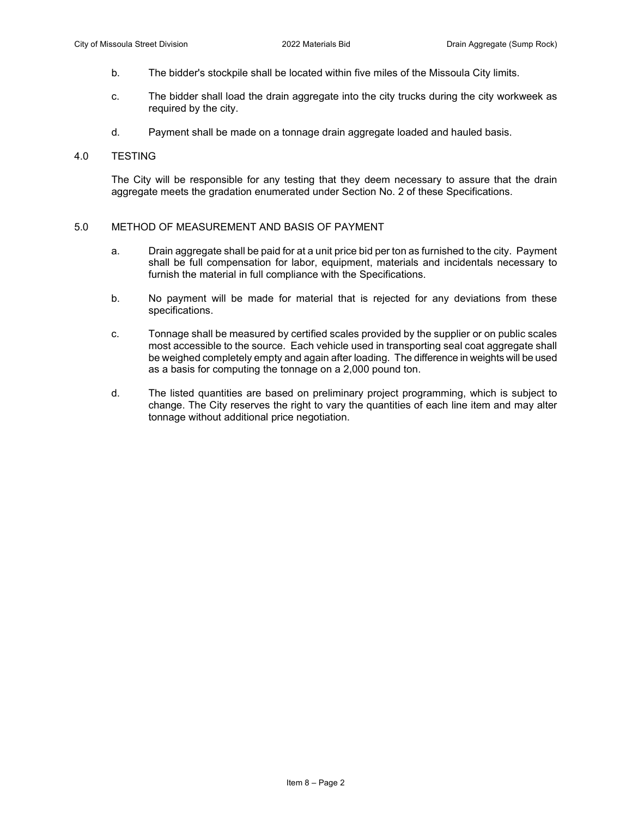- b. The bidder's stockpile shall be located within five miles of the Missoula City limits.
- c. The bidder shall load the drain aggregate into the city trucks during the city workweek as required by the city.
- d. Payment shall be made on a tonnage drain aggregate loaded and hauled basis.

#### 4.0 TESTING

The City will be responsible for any testing that they deem necessary to assure that the drain aggregate meets the gradation enumerated under Section No. 2 of these Specifications.

#### 5.0 METHOD OF MEASUREMENT AND BASIS OF PAYMENT

- a. Drain aggregate shall be paid for at a unit price bid per ton as furnished to the city. Payment shall be full compensation for labor, equipment, materials and incidentals necessary to furnish the material in full compliance with the Specifications.
- b. No payment will be made for material that is rejected for any deviations from these specifications.
- c. Tonnage shall be measured by certified scales provided by the supplier or on public scales most accessible to the source. Each vehicle used in transporting seal coat aggregate shall be weighed completely empty and again after loading. The difference in weights will be used as a basis for computing the tonnage on a 2,000 pound ton.
- d. The listed quantities are based on preliminary project programming, which is subject to change. The City reserves the right to vary the quantities of each line item and may alter tonnage without additional price negotiation.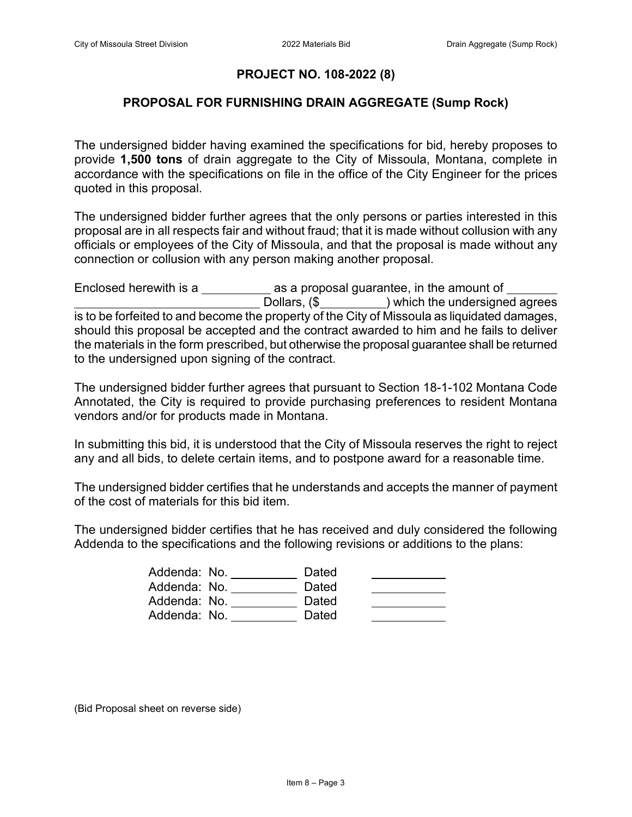# **PROJECT NO. 108-2022 (8)**

## **PROPOSAL FOR FURNISHING DRAIN AGGREGATE (Sump Rock)**

The undersigned bidder having examined the specifications for bid, hereby proposes to provide **1,500 tons** of drain aggregate to the City of Missoula, Montana, complete in accordance with the specifications on file in the office of the City Engineer for the prices quoted in this proposal.

The undersigned bidder further agrees that the only persons or parties interested in this proposal are in all respects fair and without fraud; that it is made without collusion with any officials or employees of the City of Missoula, and that the proposal is made without any connection or collusion with any person making another proposal.

Enclosed herewith is a \_\_\_\_\_\_\_\_\_\_\_\_ as a proposal guarantee, in the amount of \_\_\_\_\_\_\_ Dollars,  $(\$$  ) which the undersigned agrees is to be forfeited to and become the property of the City of Missoula as liquidated damages, should this proposal be accepted and the contract awarded to him and he fails to deliver the materials in the form prescribed, but otherwise the proposal guarantee shall be returned to the undersigned upon signing of the contract.

The undersigned bidder further agrees that pursuant to Section 18-1-102 Montana Code Annotated, the City is required to provide purchasing preferences to resident Montana vendors and/or for products made in Montana.

In submitting this bid, it is understood that the City of Missoula reserves the right to reject any and all bids, to delete certain items, and to postpone award for a reasonable time.

The undersigned bidder certifies that he understands and accepts the manner of payment of the cost of materials for this bid item.

The undersigned bidder certifies that he has received and duly considered the following Addenda to the specifications and the following revisions or additions to the plans:

| Addenda: No. | Dated |  |
|--------------|-------|--|
| Addenda: No. | Dated |  |
| Addenda: No. | Dated |  |
| Addenda: No. | Dated |  |

(Bid Proposal sheet on reverse side)